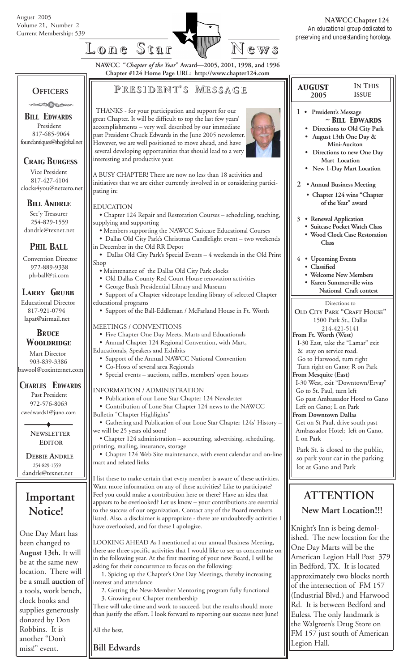

 *august* **2005**

1 **• President's Message**

**2 • Annual Business Meeting • Chapter 124 wins "Chapter**

**IN THIS ISSUE**

*~ Bill Edwards*  **• Directions to Old City Park • August 13th One Day & Mini-Auciton • Directions to new One Day Mart Location • New 1-Day Mart Location**

**NAWCC "***Chapter of the Year***" Award—2005, 2001, 1998, and 1996 Chapter #124 Home Page URL: http://www.chapter124.com**

## **OFFICERS**

### ಿಂದಿ⊘ದಿಂ∘

*BILL EDWARDS* President 817-685-9064 foundantiques@sbcglobal.net

### *Craig Burgess*

 Vice President 817-427-4104 clocks4you@netzero.net

### *Bill Andrle*

 Sec'y Treasurer 254-829-1559 dandrle@texnet.net

### *PHIL BALL*

 Convention Director 972-889-9338 ph-ball@ti.com

### *Larry Grubb*

Educational Director 817-921-0794 lapat@airmail.net

#### *BRuce Wooldridge*

 Mart Director 903-839-3386 bawool@coxinternet.com

### *CHARLES EDWARDS*

 Past President 972-576-8063 cwedwards1@juno.com

> **NEWSLETTER EDITOR**

 **DEBBIE ANDRLE** 254-829-1559 dandrle@texnet.net

# **Important Notice!**

One Day Mart has been changed to **August 13th.** It will be at the same new location. There will be a small **auction** of a tools, work bench, clock books and supplies generously donated by Don Robbins. It is another "Don't miss!" event.

# **P RESIDENT RESIDENT' S M ESSAGE**

 THANKS - for your participation and support for our great Chapter. It will be difficult to top the last few years' accomplishments – very well described by our immediate past President Chuck Edwards in the June 2005 newsletter. However, we are well positioned to move ahead, and have several developing opportunities that should lead to a very interesting and productive year.



A BUSY CHAPTER! There are now no less than 18 activities and initiatives that we are either currently involved in or considering participating in:

#### EDUCATION

- Chapter 124 Repair and Restoration Courses scheduling, teaching, supplying and supporting
- Members supporting the NAWCC Suitcase Educational Courses **•** Dallas Old City Park's Christmas Candlelight event – two weekends
- in December in the Old RR Depot
- Dallas Old City Park's Special Events 4 weekends in the Old Print Shop
	- Maintenance of the Dallas Old City Park clocks
	- Old Dallas County Red Court House renovation activities
	- George Bush Presidential Library and Museum
- Support of a Chapter videotape lending library of selected Chapter educational programs
	- Support of the Ball-Eddleman / McFarland House in Ft. Worth

#### MEETINGS / CONVENTIONS

- Five Chapter One Day Meets, Marts and Educationals
- Annual Chapter 124 Regional Convention, with Mart,
- Educationals, Speakers and Exhibits
	- Support of the Annual NAWCC National Convention
	- Co-Hosts of several area Regionals
	- Special events auctions, raffles, members' open houses
- INFORMATION / ADMINISTRATION
- Publication of our Lone Star Chapter 124 Newsletter
- Contribution of Lone Star Chapter 124 news to the NAWCC
- Bulletin "Chapter Highlights"
- Gathering and Publication of our Lone Star Chapter 124s' History we will be 25 years old soon!
- Chapter 124 administration accounting, advertising, scheduling, printing, mailing, insurance, storage

 **•** Chapter 124 Web Site maintenance, with event calendar and on-line mart and related links

I list these to make certain that every member is aware of these activities. Want more information on any of these activities? Like to participate? Feel you could make a contribution here or there? Have an idea that appears to be overlooked? Let us know – your contributions are essential to the success of our organization. Contact any of the Board members listed. Also, a disclaimer is appropriate - there are undoubtedly activities I have overlooked, and for these I apologize.

LOOKING AHEAD As I mentioned at our annual Business Meeting, there are three specific activities that I would like to see us concentrate on in the following year. At the first meeting of your new Board, I will be asking for their concurrence to focus on the following:

 1. Spicing up the Chapter's One Day Meetings, thereby increasing interest and attendance

 2. Getting the New-Member Mentoring program fully functional 3. Growing our Chapter membership

These will take time and work to succeed, but the results should more than justify the effort. I look forward to reporting our success next June!

All the best,

**Bill Edwards**

#### Directions to **OLD CITY PARK "CRAFT HOUSE"** 1500 Park St., Dallas 214-421-5141 **From Ft. Worth (West)** I-30 East, take the "Lamar" exit & stay on service road. Go to Harwood, turn right Turn right on Gano; R on Park **From Mesquite (East)** I-30 West, exit "Downtown/Ervay" Go to St. Paul, turn left Go past Ambassador Hotel to Gano Left on Gano; L on Park **From Downtown Dallas of the Year" award 3 • Renewal Application • Suitcase Pocket Watch Class • Wood Clock Case Restoration Class 4 • Upcoming Events • Classified • Welcome New Members • Karen Summerville wins National Craft contest**

 Get on St Paul, drive south past Ambassador Hotel; left on Gano, L on Park

Park St. is closed to the public, so park your car in the parking lot at Gano and Park

## **ATTENTION New Mart Location!!!**

Knight's Inn is being demolished. The new location for the One Day Marts will be the American Legion Hall Post 379 in Bedford, TX. It is located approximately two blocks north of the intersection of FM 157 (Industrial Blvd.) and Harwood Rd. It is between Bedford and Euless. The only landmark is the Walgreen's Drug Store on FM 157 just south of American Legion Hall.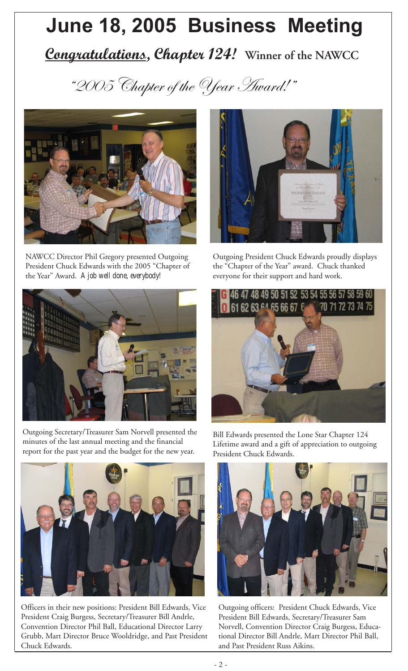# **June 18, 2005 Business Meeting**

# *Congratulations, Chapter 124!* **Winner of the NAWCC**

"2005 Chapter of the Year Award!"



NAWCC Director Phil Gregory presented Outgoing President Chuck Edwards with the 2005 "Chapter of the Year" Award. *A job well done, everybody!*



Outgoing Secretary/Treasurer Sam Norvell presented the minutes of the last annual meeting and the financial report for the past year and the budget for the new year.



Outgoing President Chuck Edwards proudly displays the "Chapter of the Year" award. Chuck thanked everyone for their support and hard work.





Officers in their new positions: President Bill Edwards, Vice President Craig Burgess, Secretary/Treasurer Bill Andrle, Convention Director Phil Ball, Educational Director Larry Grubb, Mart Director Bruce Wooldridge, and Past President Chuck Edwards.

Bill Edwards presented the Lone Star Chapter 124 Lifetime award and a gift of appreciation to outgoing President Chuck Edwards.



Outgoing officers: President Chuck Edwards, Vice President Bill Edwards, Secretary/Treasurer Sam Norvell, Convention Director Craig Burgess, Educational Director Bill Andrle, Mart Director Phil Ball, and Past President Russ Aikins.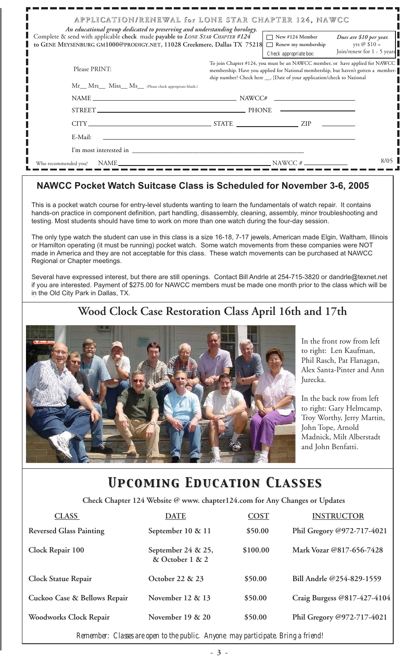| An educational group dedicated to preserving and understanding horology.                                                                                | APPLICATION/RENEWAL for LONE STAR CHAPTER 124, NAWCC                                                                                                                                                                                           |
|---------------------------------------------------------------------------------------------------------------------------------------------------------|------------------------------------------------------------------------------------------------------------------------------------------------------------------------------------------------------------------------------------------------|
| Complete & send with applicable check made payable to LONE STAR CHAPTER #124<br>to GENE MEYSENBURG GM1000@PRODIGY.NET, 11028 Creekmere, Dallas TX 75218 | $\Box$ New #124 Member<br>Dues are \$10 per year.<br>yrs @ $$10 =$<br>Renew my membership<br><b>Tarat</b><br>Join/renew for 1 - 5 years<br>Check appropriate box:                                                                              |
| Please PRINT:                                                                                                                                           | To join Chapter #124, you must be an NAWCC member, or have applied for NAWCC<br>membership. Have you applied for National membership, but haven't gotten a member-<br>ship number? Check here ___, [Date of your application/check to National |
| Mr__ Mrs__ Miss__ Ms__ (Please check appropriate blank.)                                                                                                |                                                                                                                                                                                                                                                |
|                                                                                                                                                         | $NAME \_\_\_\_\_\_$                                                                                                                                                                                                                            |
|                                                                                                                                                         |                                                                                                                                                                                                                                                |
|                                                                                                                                                         | $CITY$ $ZIP$                                                                                                                                                                                                                                   |
| E-Mail:                                                                                                                                                 |                                                                                                                                                                                                                                                |
|                                                                                                                                                         |                                                                                                                                                                                                                                                |
| Who recommended you?                                                                                                                                    | 8/05<br>$NAME$ NAME                                                                                                                                                                                                                            |

### **NAWCC Pocket Watch Suitcase Class is Scheduled for November 3-6, 2005**

This is a pocket watch course for entry-level students wanting to learn the fundamentals of watch repair. It contains hands-on practice in component definition, part handling, disassembly, cleaning, assembly, minor troubleshooting and testing. Most students should have time to work on more than one watch during the four-day session.

The only type watch the student can use in this class is a size 16-18, 7-17 jewels, American made Elgin, Waltham, Illinois or Hamilton operating (it must be running) pocket watch. Some watch movements from these companies were NOT made in America and they are not acceptable for this class. These watch movements can be purchased at NAWCC Regional or Chapter meetings.

Several have expressed interest, but there are still openings. Contact Bill Andrle at 254-715-3820 or dandrle@texnet.net if you are interested. Payment of \$275.00 for NAWCC members must be made one month prior to the class which will be in the Old City Park in Dallas, TX.

# **Wood Clock Case Restoration Class April 16th and 17th**



In the front row from left to right: Len Kaufman, Phil Rasch, Pat Flanagan, Alex Santa-Pinter and Ann Jurecka.

In the back row from left to right: Gary Helmcamp, Troy Worthy, Jerry Martin, John Tope, Arnold Madnick, Milt Alberstadt and John Benfatti.

# *Upcoming Education Classes Upcoming Education Classes*

 **Check Chapter 124 Website @ www. chapter124.com for Any Changes or Updates**

| <b>DATE</b>                           | COST     | <b>INSTRUCTOR</b>           |
|---------------------------------------|----------|-----------------------------|
| September 10 & 11                     | \$50.00  | Phil Gregory @972-717-4021  |
| September 24 & 25,<br>& October 1 & 2 | \$100.00 | Mark Vozar @817-656-7428    |
| October 22 & 23                       | \$50.00  | Bill Andrle @254-829-1559   |
| November $12 \& 13$                   | \$50.00  | Craig Burgess @817-427-4104 |
| November $19 & 20$                    | \$50.00  | Phil Gregory @972-717-4021  |
|                                       |          |                             |

*Remember: Classes are open to the public. Anyone may participate. Bring a friend!*